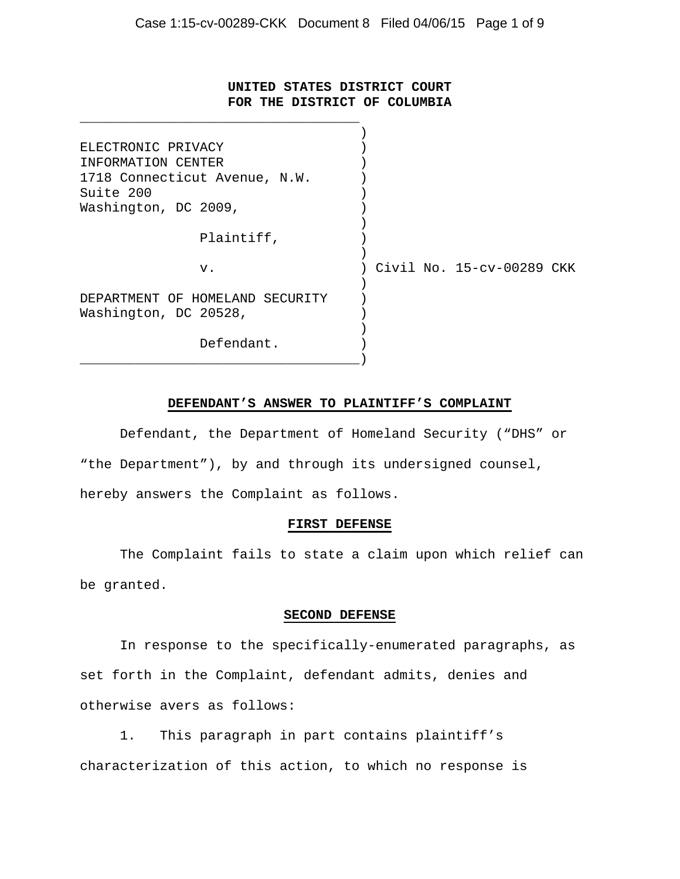## **UNITED STATES DISTRICT COURT FOR THE DISTRICT OF COLUMBIA**

\_\_\_\_\_\_\_\_\_\_\_\_\_\_\_\_\_\_\_\_\_\_\_\_\_\_\_\_\_\_\_\_\_\_\_

| ELECTRONIC PRIVACY              |                           |
|---------------------------------|---------------------------|
| INFORMATION CENTER              |                           |
| 1718 Connecticut Avenue, N.W.   |                           |
| Suite 200                       |                           |
| Washington, DC 2009,            |                           |
|                                 |                           |
| Plaintiff,                      |                           |
|                                 |                           |
| v.                              | Civil No. 15-cv-00289 CKK |
|                                 |                           |
| DEPARTMENT OF HOMELAND SECURITY |                           |
| Washington, DC 20528,           |                           |
|                                 |                           |
| Defendant.                      |                           |
|                                 |                           |

## **DEFENDANT'S ANSWER TO PLAINTIFF'S COMPLAINT**

 Defendant, the Department of Homeland Security ("DHS" or "the Department"), by and through its undersigned counsel, hereby answers the Complaint as follows.

## **FIRST DEFENSE**

 The Complaint fails to state a claim upon which relief can be granted.

#### **SECOND DEFENSE**

 In response to the specifically-enumerated paragraphs, as set forth in the Complaint, defendant admits, denies and otherwise avers as follows:

1. This paragraph in part contains plaintiff's characterization of this action, to which no response is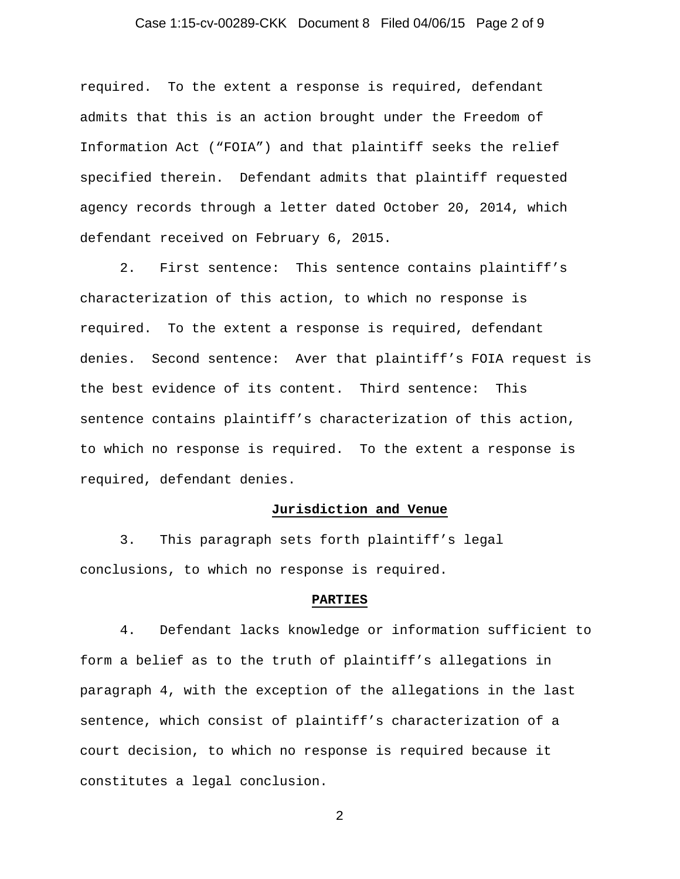## Case 1:15-cv-00289-CKK Document 8 Filed 04/06/15 Page 2 of 9

required. To the extent a response is required, defendant admits that this is an action brought under the Freedom of Information Act ("FOIA") and that plaintiff seeks the relief specified therein. Defendant admits that plaintiff requested agency records through a letter dated October 20, 2014, which defendant received on February 6, 2015.

2. First sentence: This sentence contains plaintiff's characterization of this action, to which no response is required. To the extent a response is required, defendant denies. Second sentence: Aver that plaintiff's FOIA request is the best evidence of its content. Third sentence: This sentence contains plaintiff's characterization of this action, to which no response is required. To the extent a response is required, defendant denies.

#### **Jurisdiction and Venue**

3. This paragraph sets forth plaintiff's legal conclusions, to which no response is required.

#### **PARTIES**

4. Defendant lacks knowledge or information sufficient to form a belief as to the truth of plaintiff's allegations in paragraph 4, with the exception of the allegations in the last sentence, which consist of plaintiff's characterization of a court decision, to which no response is required because it constitutes a legal conclusion.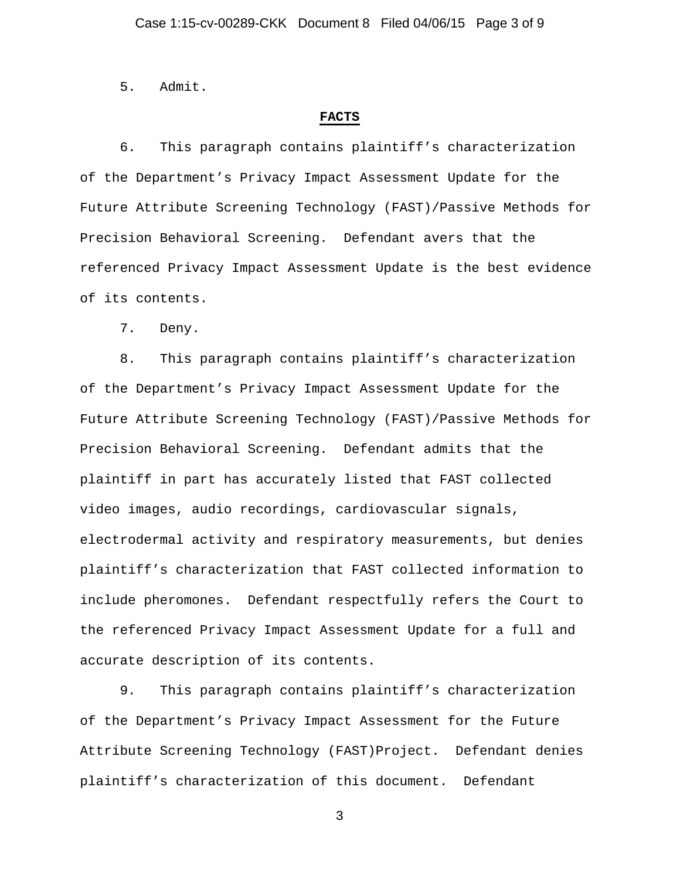5. Admit.

## **FACTS**

6. This paragraph contains plaintiff's characterization of the Department's Privacy Impact Assessment Update for the Future Attribute Screening Technology (FAST)/Passive Methods for Precision Behavioral Screening. Defendant avers that the referenced Privacy Impact Assessment Update is the best evidence of its contents.

7. Deny.

8. This paragraph contains plaintiff's characterization of the Department's Privacy Impact Assessment Update for the Future Attribute Screening Technology (FAST)/Passive Methods for Precision Behavioral Screening. Defendant admits that the plaintiff in part has accurately listed that FAST collected video images, audio recordings, cardiovascular signals, electrodermal activity and respiratory measurements, but denies plaintiff's characterization that FAST collected information to include pheromones. Defendant respectfully refers the Court to the referenced Privacy Impact Assessment Update for a full and accurate description of its contents.

9. This paragraph contains plaintiff's characterization of the Department's Privacy Impact Assessment for the Future Attribute Screening Technology (FAST)Project. Defendant denies plaintiff's characterization of this document. Defendant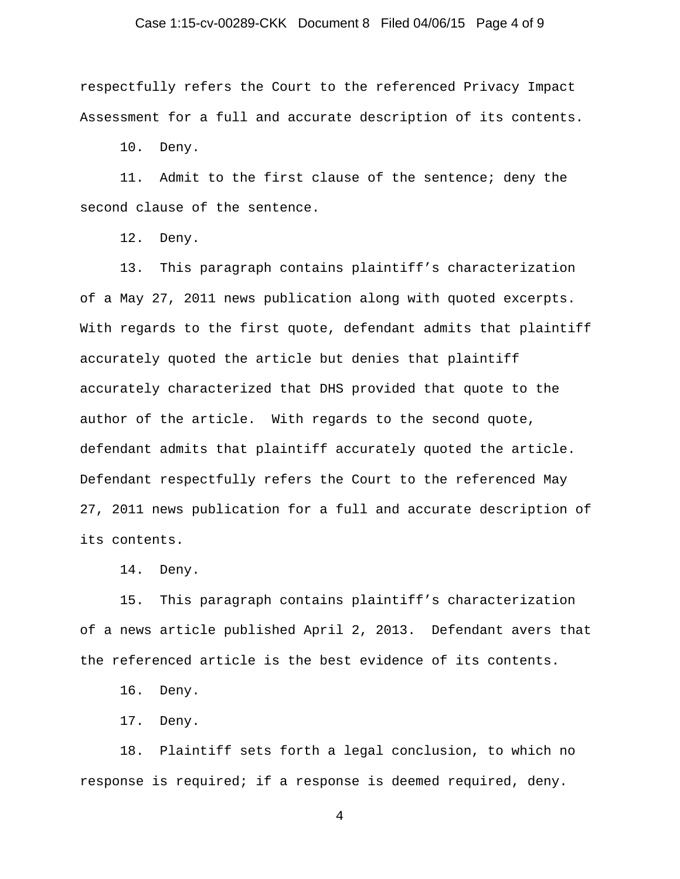## Case 1:15-cv-00289-CKK Document 8 Filed 04/06/15 Page 4 of 9

respectfully refers the Court to the referenced Privacy Impact Assessment for a full and accurate description of its contents.

10. Deny.

11. Admit to the first clause of the sentence; deny the second clause of the sentence.

12. Deny.

13. This paragraph contains plaintiff's characterization of a May 27, 2011 news publication along with quoted excerpts. With regards to the first quote, defendant admits that plaintiff accurately quoted the article but denies that plaintiff accurately characterized that DHS provided that quote to the author of the article. With regards to the second quote, defendant admits that plaintiff accurately quoted the article. Defendant respectfully refers the Court to the referenced May 27, 2011 news publication for a full and accurate description of its contents.

14. Deny.

15. This paragraph contains plaintiff's characterization of a news article published April 2, 2013. Defendant avers that the referenced article is the best evidence of its contents.

16. Deny.

17. Deny.

18. Plaintiff sets forth a legal conclusion, to which no response is required; if a response is deemed required, deny.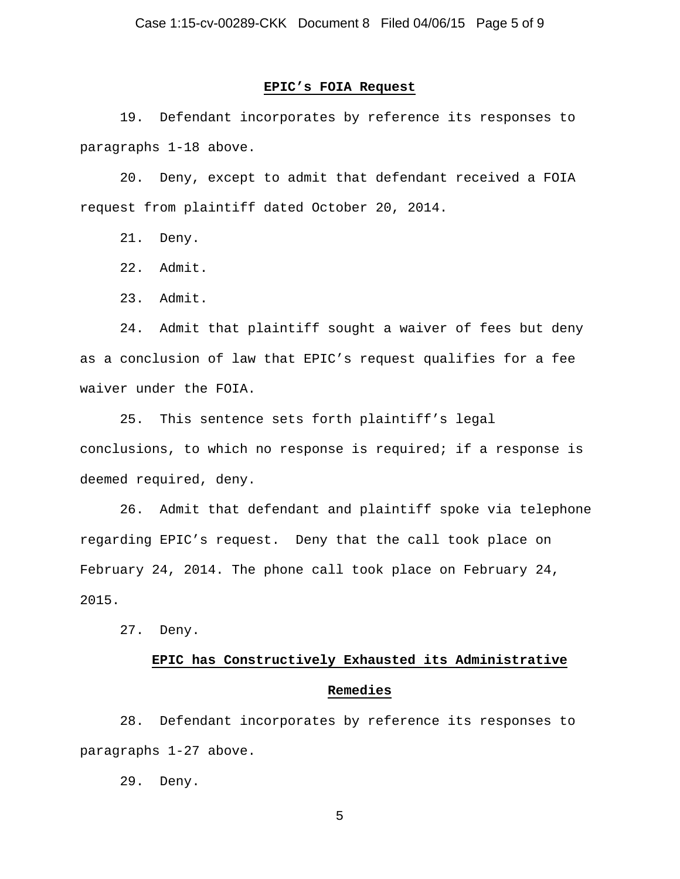## **EPIC's FOIA Request**

19. Defendant incorporates by reference its responses to paragraphs 1-18 above.

20. Deny, except to admit that defendant received a FOIA request from plaintiff dated October 20, 2014.

21. Deny.

22. Admit.

23. Admit.

24. Admit that plaintiff sought a waiver of fees but deny as a conclusion of law that EPIC's request qualifies for a fee waiver under the FOIA.

25. This sentence sets forth plaintiff's legal conclusions, to which no response is required; if a response is deemed required, deny.

26. Admit that defendant and plaintiff spoke via telephone regarding EPIC's request. Deny that the call took place on February 24, 2014. The phone call took place on February 24, 2015.

27. Deny.

# **EPIC has Constructively Exhausted its Administrative Remedies**

28. Defendant incorporates by reference its responses to paragraphs 1-27 above.

29. Deny.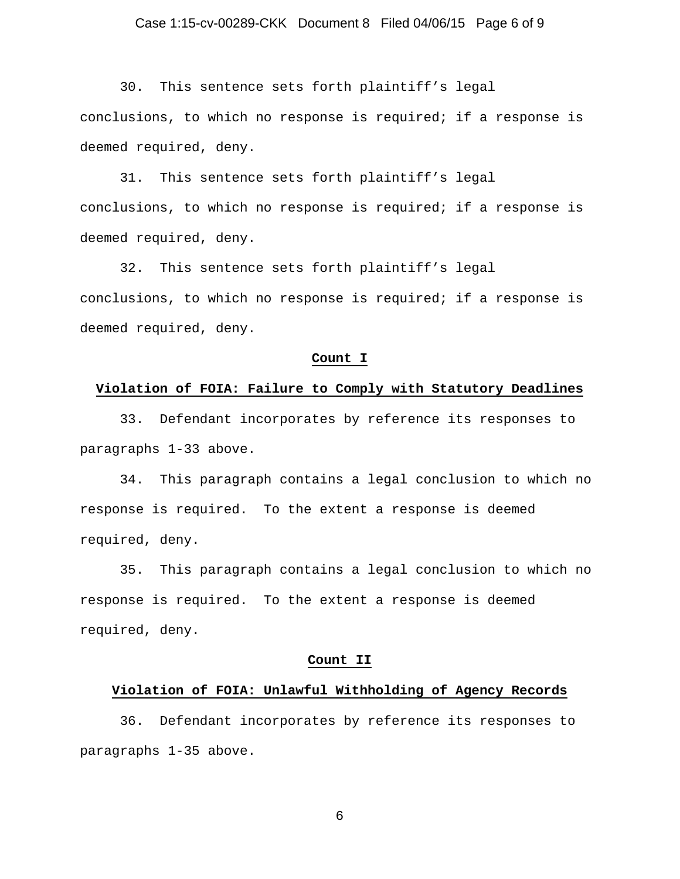## Case 1:15-cv-00289-CKK Document 8 Filed 04/06/15 Page 6 of 9

30. This sentence sets forth plaintiff's legal conclusions, to which no response is required; if a response is deemed required, deny.

31. This sentence sets forth plaintiff's legal conclusions, to which no response is required; if a response is deemed required, deny.

32. This sentence sets forth plaintiff's legal conclusions, to which no response is required; if a response is deemed required, deny.

#### **Count I**

#### **Violation of FOIA: Failure to Comply with Statutory Deadlines**

33. Defendant incorporates by reference its responses to paragraphs 1-33 above.

34. This paragraph contains a legal conclusion to which no response is required. To the extent a response is deemed required, deny.

35. This paragraph contains a legal conclusion to which no response is required. To the extent a response is deemed required, deny.

#### **Count II**

## **Violation of FOIA: Unlawful Withholding of Agency Records**

36. Defendant incorporates by reference its responses to paragraphs 1-35 above.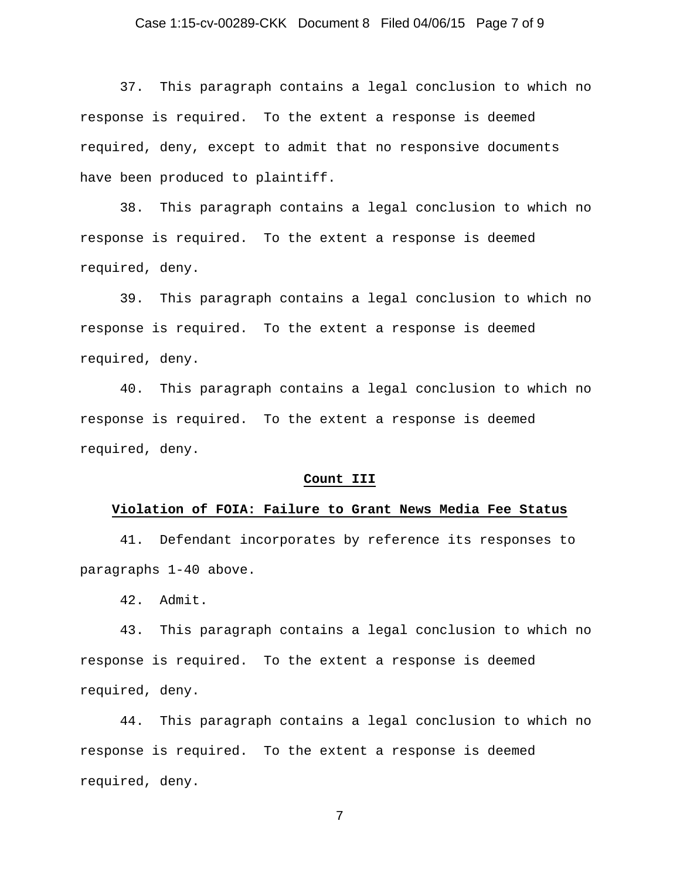## Case 1:15-cv-00289-CKK Document 8 Filed 04/06/15 Page 7 of 9

37. This paragraph contains a legal conclusion to which no response is required. To the extent a response is deemed required, deny, except to admit that no responsive documents have been produced to plaintiff.

38. This paragraph contains a legal conclusion to which no response is required. To the extent a response is deemed required, deny.

39. This paragraph contains a legal conclusion to which no response is required. To the extent a response is deemed required, deny.

40. This paragraph contains a legal conclusion to which no response is required. To the extent a response is deemed required, deny.

#### **Count III**

#### **Violation of FOIA: Failure to Grant News Media Fee Status**

41. Defendant incorporates by reference its responses to paragraphs 1-40 above.

42. Admit.

43. This paragraph contains a legal conclusion to which no response is required. To the extent a response is deemed required, deny.

44. This paragraph contains a legal conclusion to which no response is required. To the extent a response is deemed required, deny.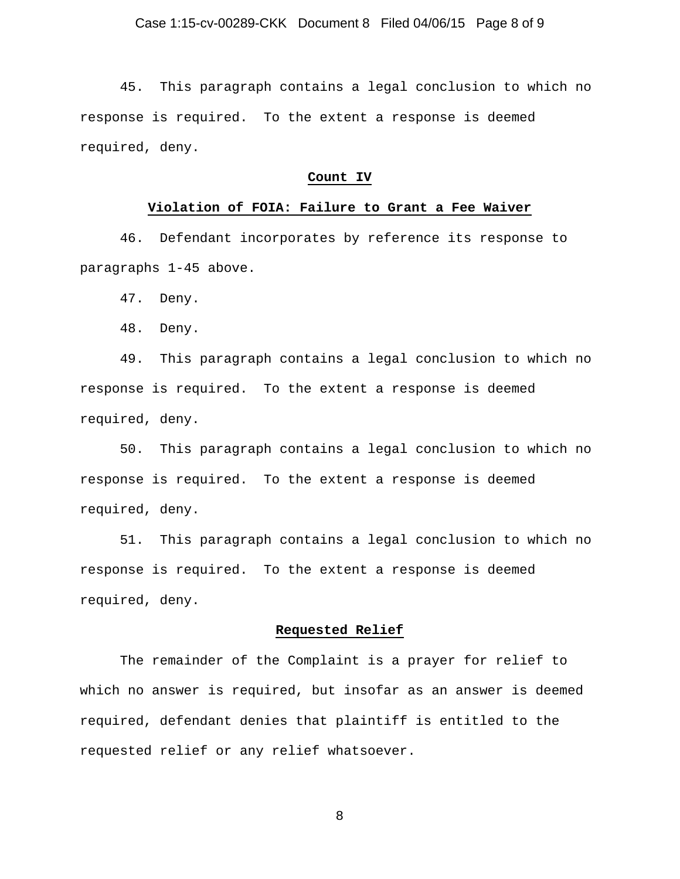45. This paragraph contains a legal conclusion to which no response is required. To the extent a response is deemed required, deny.

## **Count IV**

## **Violation of FOIA: Failure to Grant a Fee Waiver**

46. Defendant incorporates by reference its response to paragraphs 1-45 above.

47. Deny.

48. Deny.

49. This paragraph contains a legal conclusion to which no response is required. To the extent a response is deemed required, deny.

50. This paragraph contains a legal conclusion to which no response is required. To the extent a response is deemed required, deny.

51. This paragraph contains a legal conclusion to which no response is required. To the extent a response is deemed required, deny.

## **Requested Relief**

The remainder of the Complaint is a prayer for relief to which no answer is required, but insofar as an answer is deemed required, defendant denies that plaintiff is entitled to the requested relief or any relief whatsoever.